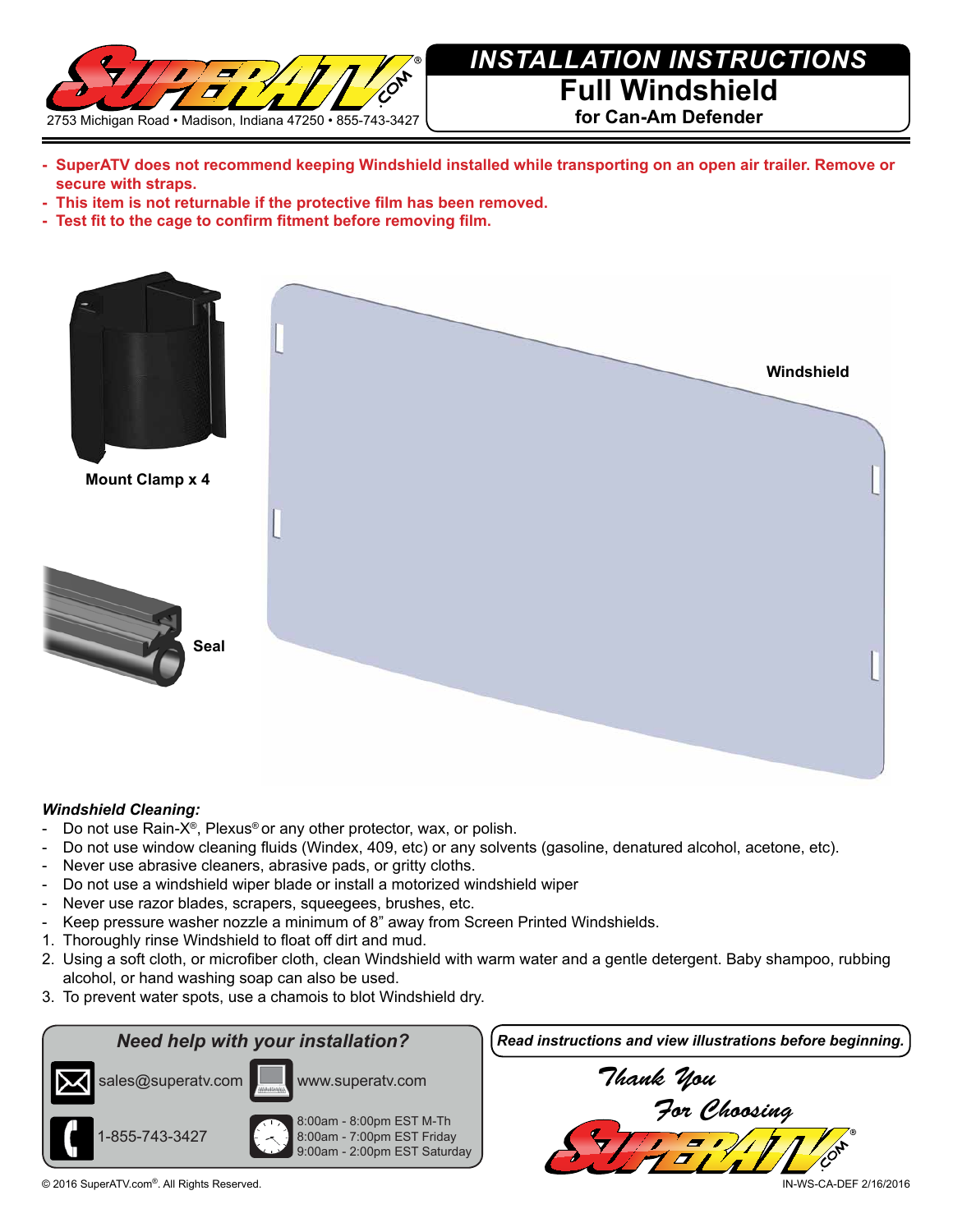

# *INSTALLATION INSTRUCTIONS* **Full Windshield for Can-Am Defender**

- **- SuperATV does not recommend keeping Windshield installed while transporting on an open air trailer. Remove or secure with straps.**
- **- This item is not returnable if the protective film has been removed.**
- **- Test fit to the cage to confirm fitment before removing film.**



## *Windshield Cleaning:*

- Do not use Rain-X®, Plexus® or any other protector, wax, or polish.
- Do not use window cleaning fluids (Windex, 409, etc) or any solvents (gasoline, denatured alcohol, acetone, etc).
- Never use abrasive cleaners, abrasive pads, or gritty cloths.
- Do not use a windshield wiper blade or install a motorized windshield wiper
- Never use razor blades, scrapers, squeegees, brushes, etc.
- Keep pressure washer nozzle a minimum of 8" away from Screen Printed Windshields.
- 1. Thoroughly rinse Windshield to float off dirt and mud.
- 2. Using a soft cloth, or microfiber cloth, clean Windshield with warm water and a gentle detergent. Baby shampoo, rubbing alcohol, or hand washing soap can also be used.
- 3. To prevent water spots, use a chamois to blot Windshield dry.



8:00am - 8:00pm EST M-Th 8:00am - 7:00pm EST Friday 9:00am - 2:00pm EST Saturday

www.superatv.com

*Need help with your installation? Read instructions and view illustrations before beginning.*



© 2016 SuperATV.com®. All Rights Reserved. IN-WS-CA-DEF 2/16/2016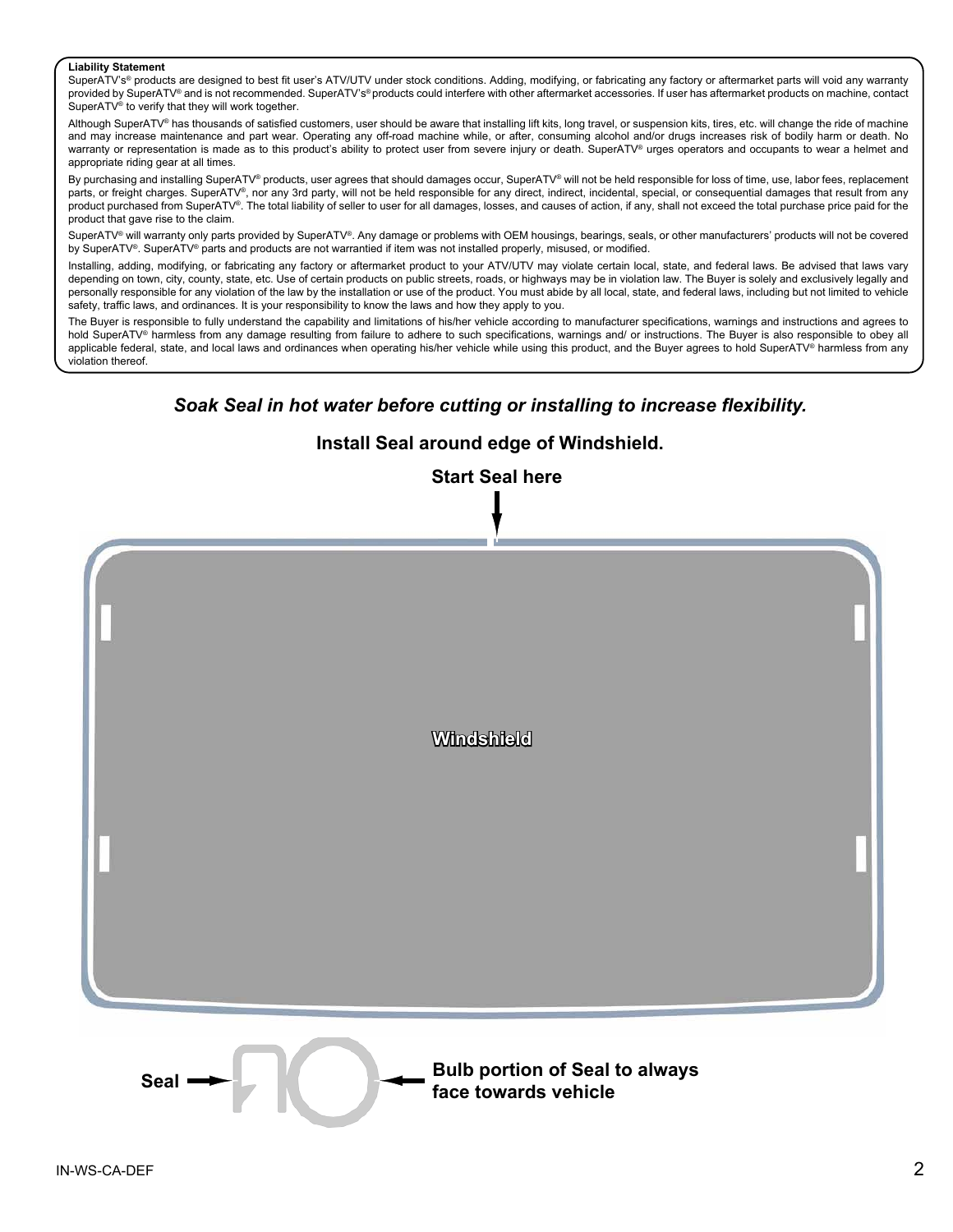### **Liability Statement**

SuperATV's® products are designed to best fit user's ATV/UTV under stock conditions. Adding, modifying, or fabricating any factory or aftermarket parts will void any warranty provided by SuperATV® and is not recommended. SuperATV's®products could interfere with other aftermarket accessories. If user has aftermarket products on machine, contact SuperATV® to verify that they will work together.

Although SuperATV® has thousands of satisfied customers, user should be aware that installing lift kits, long travel, or suspension kits, tires, etc. will change the ride of machine and may increase maintenance and part wear. Operating any off-road machine while, or after, consuming alcohol and/or drugs increases risk of bodily harm or death. No warranty or representation is made as to this product's ability to protect user from severe injury or death. SuperATV® urges operators and occupants to wear a helmet and appropriate riding gear at all times.

By purchasing and installing SuperATV<sup>®</sup> products, user agrees that should damages occur, SuperATV® will not be held responsible for loss of time, use, labor fees, replacement parts, or freight charges. SuperATV®, nor any 3rd party, will not be held responsible for any direct, indirect, incidental, special, or consequential damages that result from any product purchased from SuperATV®. The total liability of seller to user for all damages, losses, and causes of action, if any, shall not exceed the total purchase price paid for the product that gave rise to the claim.

SuperATV<sup>®</sup> will warranty only parts provided by SuperATV®. Any damage or problems with OEM housings, bearings, seals, or other manufacturers' products will not be covered by SuperATV®. SuperATV® parts and products are not warrantied if item was not installed properly, misused, or modified.

Installing, adding, modifying, or fabricating any factory or aftermarket product to your ATV/UTV may violate certain local, state, and federal laws. Be advised that laws vary depending on town, city, county, state, etc. Use of certain products on public streets, roads, or highways may be in violation law. The Buyer is solely and exclusively legally and personally responsible for any violation of the law by the installation or use of the product. You must abide by all local, state, and federal laws, including but not limited to vehicle safety, traffic laws, and ordinances. It is your responsibility to know the laws and how they apply to you.

The Buyer is responsible to fully understand the capability and limitations of his/her vehicle according to manufacturer specifications, warnings and instructions and agrees to hold SuperATV<sup>®</sup> harmless from any damage resulting from failure to adhere to such specifications, warnings and/ or instructions. The Buyer is also responsible to obey all applicable federal, state, and local laws and ordinances when operating his/her vehicle while using this product, and the Buyer agrees to hold SuperATV® harmless from any violation thereof.

## *Soak Seal in hot water before cutting or installing to increase flexibility.*

# **Install Seal around edge of Windshield.**